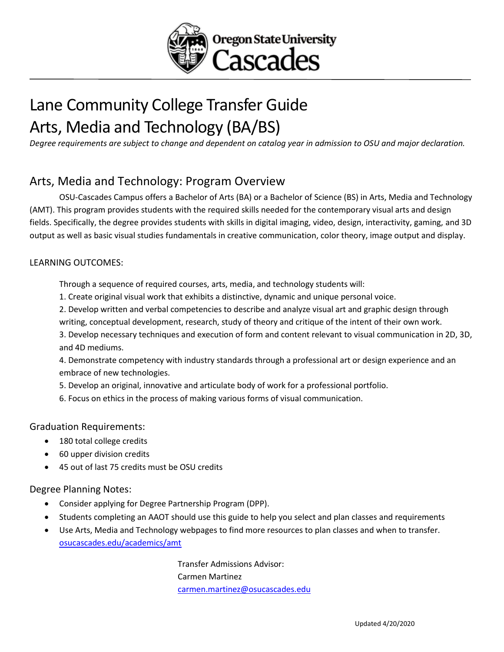

# Lane Community College Transfer Guide Arts, Media and Technology (BA/BS)

*Degree requirements are subject to change and dependent on catalog year in admission to OSU and major declaration.* 

### Arts, Media and Technology: Program Overview

OSU-Cascades Campus offers a Bachelor of Arts (BA) or a Bachelor of Science (BS) in Arts, Media and Technology (AMT). This program provides students with the required skills needed for the contemporary visual arts and design fields. Specifically, the degree provides students with skills in digital imaging, video, design, interactivity, gaming, and 3D output as well as basic visual studies fundamentals in creative communication, color theory, image output and display.

#### LEARNING OUTCOMES:

Through a sequence of required courses, arts, media, and technology students will:

1. Create original visual work that exhibits a distinctive, dynamic and unique personal voice.

2. Develop written and verbal competencies to describe and analyze visual art and graphic design through writing, conceptual development, research, study of theory and critique of the intent of their own work.

3. Develop necessary techniques and execution of form and content relevant to visual communication in 2D, 3D, and 4D mediums.

4. Demonstrate competency with industry standards through a professional art or design experience and an embrace of new technologies.

5. Develop an original, innovative and articulate body of work for a professional portfolio.

6. Focus on ethics in the process of making various forms of visual communication.

#### Graduation Requirements:

- 180 total college credits
- 60 upper division credits
- 45 out of last 75 credits must be OSU credits

Degree Planning Notes:

- Consider applying for Degree Partnership Program (DPP).
- Students completing an AAOT should use this guide to help you select and plan classes and requirements
- Use Arts, Media and Technology webpages to find more resources to plan classes and when to transfer. [osucascades.edu/academics/amt](https://osucascades.edu/academics/amt)

Transfer Admissions Advisor: Carmen Martinez [carmen.martinez@osucascades.edu](mailto:carmen.martinez@osucascades.edu)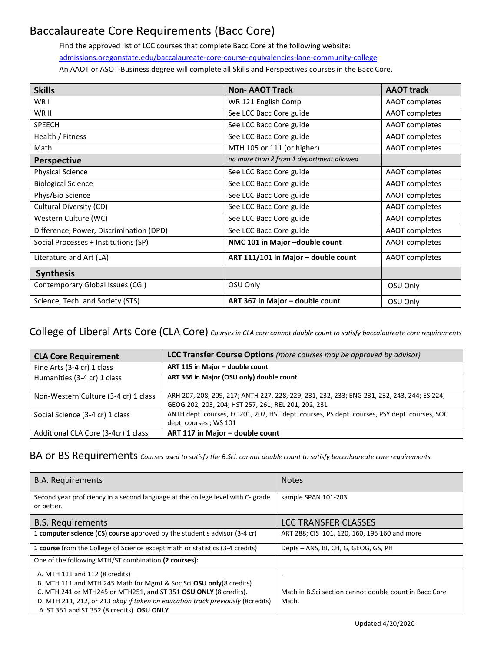## Baccalaureate Core Requirements (Bacc Core)

Find the approved list of LCC courses that complete Bacc Core at the following website: [admissions.oregonstate.edu/baccalaureate-core-course-equivalencies-lane-community-college](https://admissions.oregonstate.edu/baccalaureate-core-course-equivalencies-lane-community-college) An AAOT or ASOT-Business degree will complete all Skills and Perspectives courses in the Bacc Core.

| <b>Skills</b>                           | <b>Non-AAOT Track</b>                    | <b>AAOT track</b> |
|-----------------------------------------|------------------------------------------|-------------------|
| WR I                                    | WR 121 English Comp                      | AAOT completes    |
| WR II                                   | See LCC Bacc Core guide                  | AAOT completes    |
| <b>SPEECH</b>                           | See LCC Bacc Core guide                  | AAOT completes    |
| Health / Fitness                        | See LCC Bacc Core guide                  | AAOT completes    |
| Math                                    | MTH 105 or 111 (or higher)               | AAOT completes    |
| <b>Perspective</b>                      | no more than 2 from 1 department allowed |                   |
| <b>Physical Science</b>                 | See LCC Bacc Core guide                  | AAOT completes    |
| <b>Biological Science</b>               | See LCC Bacc Core guide                  | AAOT completes    |
| Phys/Bio Science                        | See LCC Bacc Core guide                  | AAOT completes    |
| Cultural Diversity (CD)                 | See LCC Bacc Core guide                  | AAOT completes    |
| Western Culture (WC)                    | See LCC Bacc Core guide                  | AAOT completes    |
| Difference, Power, Discrimination (DPD) | See LCC Bacc Core guide                  | AAOT completes    |
| Social Processes + Institutions (SP)    | NMC 101 in Major -double count           | AAOT completes    |
| Literature and Art (LA)                 | ART 111/101 in Major - double count      | AAOT completes    |
| <b>Synthesis</b>                        |                                          |                   |
| Contemporary Global Issues (CGI)        | OSU Only                                 | OSU Only          |
| Science, Tech. and Society (STS)        | ART 367 in Major - double count          | OSU Only          |

#### College of Liberal Arts Core (CLA Core) *Courses in CLA core cannot double count to satisfy baccalaureate core requirements*

| <b>CLA Core Requirement</b>          | <b>LCC Transfer Course Options</b> (more courses may be approved by advisor)                                                                      |
|--------------------------------------|---------------------------------------------------------------------------------------------------------------------------------------------------|
| Fine Arts (3-4 cr) 1 class           | ART 115 in Major - double count                                                                                                                   |
| Humanities (3-4 cr) 1 class          | ART 366 in Major (OSU only) double count                                                                                                          |
| Non-Western Culture (3-4 cr) 1 class | ARH 207, 208, 209, 217; ANTH 227, 228, 229, 231, 232, 233; ENG 231, 232, 243, 244; ES 224;<br>GEOG 202, 203, 204; HST 257, 261; REL 201, 202, 231 |
| Social Science (3-4 cr) 1 class      | ANTH dept. courses, EC 201, 202, HST dept. courses, PS dept. courses, PSY dept. courses, SOC<br>dept. courses; WS 101                             |
| Additional CLA Core (3-4cr) 1 class  | ART 117 in Major - double count                                                                                                                   |

BA or BS Requirements *Courses used to satisfy the B.Sci. cannot double count to satisfy baccalaureate core requirements.* 

| <b>B.A. Requirements</b>                                                                      | <b>Notes</b>                                           |
|-----------------------------------------------------------------------------------------------|--------------------------------------------------------|
| Second year proficiency in a second language at the college level with C- grade<br>or better. | sample SPAN 101-203                                    |
| <b>B.S. Requirements</b>                                                                      | LCC TRANSFER CLASSES                                   |
| 1 computer science (CS) course approved by the student's advisor (3-4 cr)                     | ART 288; CIS 101, 120, 160, 195 160 and more           |
| <b>1 course</b> from the College of Science except math or statistics (3-4 credits)           | Depts - ANS, BI, CH, G, GEOG, GS, PH                   |
| One of the following MTH/ST combination (2 courses):                                          |                                                        |
| A. MTH 111 and 112 (8 credits)                                                                |                                                        |
| B. MTH 111 and MTH 245 Math for Mgmt & Soc Sci OSU only (8 credits)                           |                                                        |
| C. MTH 241 or MTH245 or MTH251, and ST 351 OSU ONLY (8 credits).                              | Math in B.Sci section cannot double count in Bacc Core |
| D. MTH 211, 212, or 213 okay if taken on education track previously (8credits)                | Math.                                                  |
| A. ST 351 and ST 352 (8 credits) OSU ONLY                                                     |                                                        |